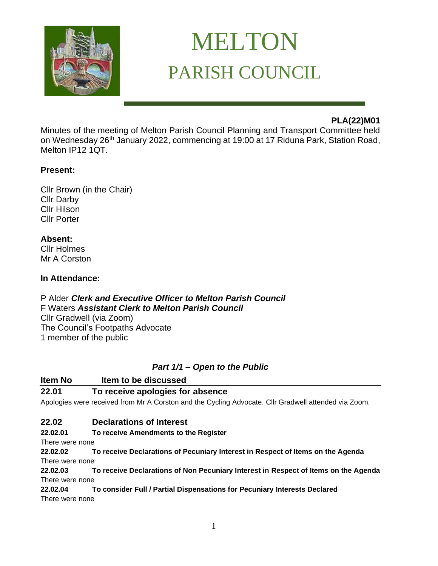

# MELTON PARISH COUNCIL

## **PLA(22)M01**

Minutes of the meeting of Melton Parish Council Planning and Transport Committee held on Wednesday 26<sup>th</sup> January 2022, commencing at 19:00 at 17 Riduna Park, Station Road, Melton IP12 1QT.

## **Present:**

Cllr Brown (in the Chair) Cllr Darby Cllr Hilson Cllr Porter

**Absent:** Cllr Holmes Mr A Corston

#### **In Attendance:**

P Alder *Clerk and Executive Officer to Melton Parish Council* F Waters *Assistant Clerk to Melton Parish Council*  Cllr Gradwell (via Zoom)

The Council's Footpaths Advocate 1 member of the public

## *Part 1/1 – Open to the Public*

## **Item No Item to be discussed 22.01 To receive apologies for absence** Apologies were received from Mr A Corston and the Cycling Advocate. Cllr Gradwell attended via Zoom.

## **22.02 Declarations of Interest**

**22.02.01 To receive Amendments to the Register**

There were none

**22.02.02 To receive Declarations of Pecuniary Interest in Respect of Items on the Agenda**  There were none

**22.02.03 To receive Declarations of Non Pecuniary Interest in Respect of Items on the Agenda** There were none

**22.02.04 To consider Full / Partial Dispensations for Pecuniary Interests Declared**  There were none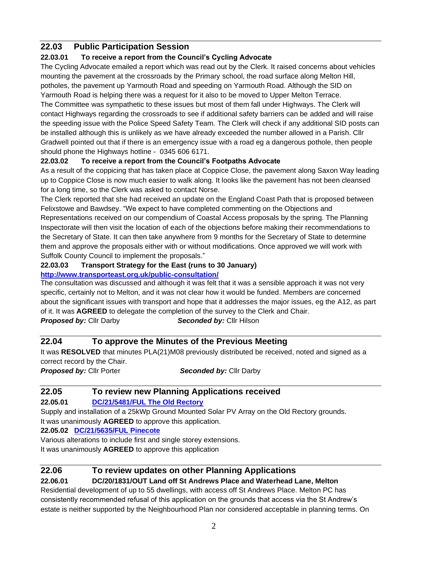## **22.03 Public Participation Session**

## **22.03.01 To receive a report from the Council's Cycling Advocate**

The Cycling Advocate emailed a report which was read out by the Clerk. It raised concerns about vehicles mounting the pavement at the crossroads by the Primary school, the road surface along Melton Hill, potholes, the pavement up Yarmouth Road and speeding on Yarmouth Road. Although the SID on Yarmouth Road is helping there was a request for it also to be moved to Upper Melton Terrace.

The Committee was sympathetic to these issues but most of them fall under Highways. The Clerk will contact Highways regarding the crossroads to see if additional safety barriers can be added and will raise the speeding issue with the Police Speed Safety Team. The Clerk will check if any additional SID posts can be installed although this is unlikely as we have already exceeded the number allowed in a Parish. Cllr Gradwell pointed out that if there is an emergency issue with a road eg a dangerous pothole, then people should phone the Highways hotline - 0345 606 6171.

## **22.03.02 To receive a report from the Council's Footpaths Advocate**

As a result of the coppicing that has taken place at Coppice Close, the pavement along Saxon Way leading up to Coppice Close is now much easier to walk along. It looks like the pavement has not been cleansed for a long time, so the Clerk was asked to contact Norse.

The Clerk reported that she had received an update on the England Coast Path that is proposed between Felixstowe and Bawdsey. "We expect to have completed commenting on the Objections and Representations received on our compendium of Coastal Access proposals by the spring. The Planning Inspectorate will then visit the location of each of the objections before making their recommendations to the Secretary of State. It can then take anywhere from 9 months for the Secretary of State to determine them and approve the proposals either with or without modifications. Once approved we will work with Suffolk County Council to implement the proposals."

#### **22.03.03 Transport Strategy for the East (runs to 30 January) <http://www.transporteast.org.uk/public-consultation/>**

The consultation was discussed and although it was felt that it was a sensible approach it was not very specific, certainly not to Melton, and it was not clear how it would be funded. Members are concerned about the significant issues with transport and hope that it addresses the major issues, eg the A12, as part of it. It was **AGREED** to delegate the completion of the survey to the Clerk and Chair.

*Proposed by:* Cllr Darby*Seconded by:* Cllr Hilson

## **22.04 To approve the Minutes of the Previous Meeting**

It was **RESOLVED** that minutes PLA(21)M08 previously distributed be received, noted and signed as a correct record by the Chair.

*Proposed by:* Cllr Porter*Seconded by:* Cllr Darby

## **22.05 To review new Planning Applications received**

## **22.05.01 [DC/21/5481/FUL The Old Rectory](https://publicaccess.eastsuffolk.gov.uk/online-applications/applicationDetails.do?activeTab=summary&keyVal=R3PC3UQXHLR00)**

Supply and installation of a 25kWp Ground Mounted Solar PV Array on the Old Rectory grounds. It was unanimously **AGREED** to approve this application.

**22.05.02 [DC/21/5635/FUL Pinecote](https://publicaccess.eastsuffolk.gov.uk/online-applications/applicationDetails.do?activeTab=summary&keyVal=R49LIXQXHUF00)**

Various alterations to include first and single storey extensions.

It was unanimously **AGREED** to approve this application

## **22.06 To review updates on other Planning Applications**

## **22.06.01 DC/20/1831/OUT Land off St Andrews Place and Waterhead Lane, Melton**

Residential development of up to 55 dwellings, with access off St Andrews Place. Melton PC has consistently recommended refusal of this application on the grounds that access via the St Andrew's estate is neither supported by the Neighbourhood Plan nor considered acceptable in planning terms. On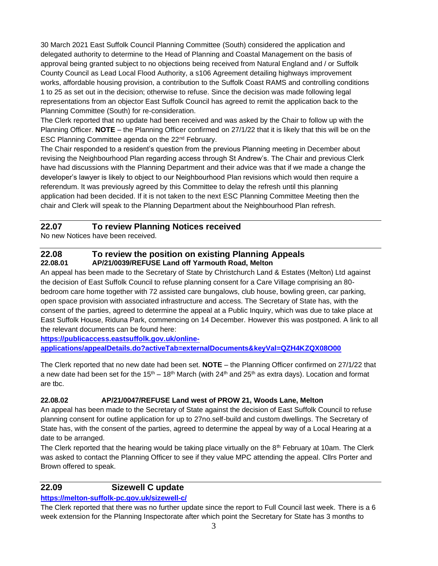30 March 2021 East Suffolk Council Planning Committee (South) considered the application and delegated authority to determine to the Head of Planning and Coastal Management on the basis of approval being granted subject to no objections being received from Natural England and / or Suffolk County Council as Lead Local Flood Authority, a s106 Agreement detailing highways improvement works, affordable housing provision, a contribution to the Suffolk Coast RAMS and controlling conditions 1 to 25 as set out in the decision; otherwise to refuse. Since the decision was made following legal representations from an objector East Suffolk Council has agreed to remit the application back to the Planning Committee (South) for re-consideration.

The Clerk reported that no update had been received and was asked by the Chair to follow up with the Planning Officer. **NOTE** – the Planning Officer confirmed on 27/1/22 that it is likely that this will be on the ESC Planning Committee agenda on the 22nd February.

The Chair responded to a resident's question from the previous Planning meeting in December about revising the Neighbourhood Plan regarding access through St Andrew's. The Chair and previous Clerk have had discussions with the Planning Department and their advice was that if we made a change the developer's lawyer is likely to object to our Neighbourhood Plan revisions which would then require a referendum. It was previously agreed by this Committee to delay the refresh until this planning application had been decided. If it is not taken to the next ESC Planning Committee Meeting then the chair and Clerk will speak to the Planning Department about the Neighbourhood Plan refresh.

## **22.07 To review Planning Notices received**

No new Notices have been received.

#### **22.08 To review the position on existing Planning Appeals 22.08.01 AP/21/0039/REFUSE Land off Yarmouth Road, Melton**

An appeal has been made to the Secretary of State by Christchurch Land & Estates (Melton) Ltd against the decision of East Suffolk Council to refuse planning consent for a Care Village comprising an 80 bedroom care home together with 72 assisted care bungalows, club house, bowling green, car parking, open space provision with associated infrastructure and access. The Secretary of State has, with the consent of the parties, agreed to determine the appeal at a Public Inquiry, which was due to take place at East Suffolk House, Riduna Park, commencing on 14 December. However this was postponed. A link to all the relevant documents can be found here:

**[https://publicaccess.eastsuffolk.gov.uk/online-](https://publicaccess.eastsuffolk.gov.uk/online-applications/appealDetails.do?activeTab=externalDocuments&keyVal=QZH4KZQX08O00)**

**[applications/appealDetails.do?activeTab=externalDocuments&keyVal=QZH4KZQX08O00](https://publicaccess.eastsuffolk.gov.uk/online-applications/appealDetails.do?activeTab=externalDocuments&keyVal=QZH4KZQX08O00)**

The Clerk reported that no new date had been set. **NOTE** – the Planning Officer confirmed on 27/1/22 that a new date had been set for the 15<sup>th</sup> – 18<sup>th</sup> March (with 24<sup>th</sup> and 25<sup>th</sup> as extra days). Location and format are tbc.

#### **22.08.02 AP/21/0047/REFUSE Land west of PROW 21, Woods Lane, Melton**

An appeal has been made to the Secretary of State against the decision of East Suffolk Council to refuse planning consent for outline application for up to 27no.self-build and custom dwellings. The Secretary of State has, with the consent of the parties, agreed to determine the appeal by way of a Local Hearing at a date to be arranged.

The Clerk reported that the hearing would be taking place virtually on the  $8<sup>th</sup>$  February at 10am. The Clerk was asked to contact the Planning Officer to see if they value MPC attending the appeal. Cllrs Porter and Brown offered to speak.

## **22.09 Sizewell C update**

#### **<https://melton-suffolk-pc.gov.uk/sizewell-c/>**

The Clerk reported that there was no further update since the report to Full Council last week. There is a 6 week extension for the Planning Inspectorate after which point the Secretary for State has 3 months to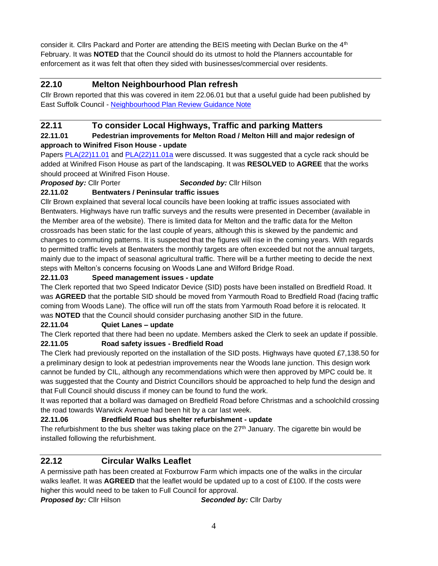consider it. Cllrs Packard and Porter are attending the BEIS meeting with Declan Burke on the  $4<sup>th</sup>$ February. It was **NOTED** that the Council should do its utmost to hold the Planners accountable for enforcement as it was felt that often they sided with businesses/commercial over residents.

## **22.10 Melton Neighbourhood Plan refresh**

Cllr Brown reported that this was covered in item 22.06.01 but that a useful guide had been published by East Suffolk Council - [Neighbourhood Plan Review Guidance Note](https://www.eastsuffolk.gov.uk/assets/Planning/Neighbourhood-Planning/Preparing-a-Neighbourhood-Plan/Neighbourhood-Planning-Guidance-Note-Review-of-Made-Neighbourhood-Development-Plans.pdf)

## **22.11 To consider Local Highways, Traffic and parking Matters**

#### **22.11.01 Pedestrian improvements for Melton Road / Melton Hill and major redesign of approach to Winifred Fison House - update**

Papers [PLA\(22\)11.01](https://melton-suffolk-pc.gov.uk/documents/pla2211-01-melton-road-and-winifred-fison-house-update/) and [PLA\(22\)11.01a](https://melton-suffolk-pc.gov.uk/wp-content/uploads/2022/01/PLA_22_11_01asafetyaudit.pdf) were discussed. It was suggested that a cycle rack should be added at Winifred Fison House as part of the landscaping. It was **RESOLVED** to **AGREE** that the works should proceed at Winifred Fison House.

*Proposed by:* Cllr Porter*Seconded by:* Cllr Hilson

## **22.11.02 Bentwaters / Peninsular traffic issues**

Cllr Brown explained that several local councils have been looking at traffic issues associated with Bentwaters. Highways have run traffic surveys and the results were presented in December (available in the Member area of the website). There is limited data for Melton and the traffic data for the Melton crossroads has been static for the last couple of years, although this is skewed by the pandemic and changes to commuting patterns. It is suspected that the figures will rise in the coming years. With regards to permitted traffic levels at Bentwaters the monthly targets are often exceeded but not the annual targets, mainly due to the impact of seasonal agricultural traffic. There will be a further meeting to decide the next steps with Melton's concerns focusing on Woods Lane and Wilford Bridge Road.

#### **22.11.03 Speed management issues - update**

The Clerk reported that two Speed Indicator Device (SID) posts have been installed on Bredfield Road. It was **AGREED** that the portable SID should be moved from Yarmouth Road to Bredfield Road (facing traffic coming from Woods Lane). The office will run off the stats from Yarmouth Road before it is relocated. It was **NOTED** that the Council should consider purchasing another SID in the future.

#### **22.11.04 Quiet Lanes – update**

The Clerk reported that there had been no update. Members asked the Clerk to seek an update if possible. **22.11.05 Road safety issues - Bredfield Road** 

The Clerk had previously reported on the installation of the SID posts. Highways have quoted £7,138.50 for a preliminary design to look at pedestrian improvements near the Woods lane junction. This design work cannot be funded by CIL, although any recommendations which were then approved by MPC could be. It was suggested that the County and District Councillors should be approached to help fund the design and that Full Council should discuss if money can be found to fund the work.

It was reported that a bollard was damaged on Bredfield Road before Christmas and a schoolchild crossing the road towards Warwick Avenue had been hit by a car last week.

## **22.11.06 Bredfield Road bus shelter refurbishment - update**

The refurbishment to the bus shelter was taking place on the  $27<sup>th</sup>$  January. The cigarette bin would be installed following the refurbishment.

## **22.12 Circular Walks Leaflet**

A permissive path has been created at Foxburrow Farm which impacts one of the walks in the circular walks leaflet. It was **AGREED** that the leaflet would be updated up to a cost of £100. If the costs were higher this would need to be taken to Full Council for approval.

*Proposed by:* Cllr Hilson*Seconded by:* Cllr Darby